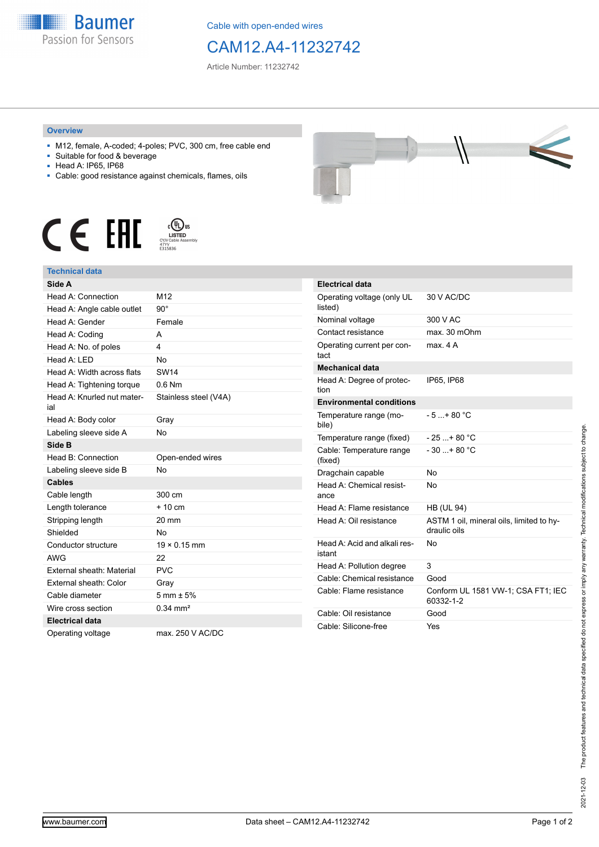

Cable with open-ended wires

## CAM12.A4-11232742

Article Number: 11232742

## **Overview**

- M12, female, A-coded; 4-poles; PVC, 300 cm, free cable end
- Suitable for food & beverage
- Head A: IP65, IP68
- Cable: good resistance against chemicals, flames, oils





## **Technical data**

| Side A                            |                        |
|-----------------------------------|------------------------|
| Head A: Connection                | M <sub>12</sub>        |
| Head A: Angle cable outlet        | $90^\circ$             |
| Head A: Gender                    | Female                 |
| Head A: Coding                    | А                      |
| Head A: No. of poles              | 4                      |
| Head A: LED                       | <b>No</b>              |
| Head A: Width across flats        | <b>SW14</b>            |
| Head A: Tightening torque         | $0.6$ Nm               |
| Head A: Knurled nut mater-<br>ial | Stainless steel (V4A)  |
| Head A: Body color                | Gray                   |
| Labeling sleeve side A            | <b>No</b>              |
| Side B                            |                        |
| Head B: Connection                | Open-ended wires       |
| Labeling sleeve side B            | N <sub>0</sub>         |
| <b>Cables</b>                     |                        |
| Cable length                      | 300 cm                 |
| Length tolerance                  | $+10 \text{ cm}$       |
| Stripping length                  | 20 mm                  |
| Shielded                          | <b>No</b>              |
| Conductor structure               | $19 \times 0.15$ mm    |
| <b>AWG</b>                        | 22                     |
| External sheath: Material         | <b>PVC</b>             |
| External sheath: Color            | Gray                   |
| Cable diameter                    | $5 \text{ mm} \pm 5\%$ |
| Wire cross section                | $0.34 \, \text{mm}^2$  |
| <b>Electrical data</b>            |                        |
| Operating voltage                 | max. 250 V AC/DC       |

| <b>Contract Contract</b> |  |  |
|--------------------------|--|--|

| <b>Electrical data</b>                 |                                                          |
|----------------------------------------|----------------------------------------------------------|
| Operating voltage (only UL<br>listed)  | 30 V AC/DC                                               |
| Nominal voltage                        | 300 V AC                                                 |
| Contact resistance                     | $max$ 30 mOhm                                            |
| Operating current per con-<br>tact     | max 4 A                                                  |
| <b>Mechanical data</b>                 |                                                          |
| Head A: Degree of protec-<br>tion      | IP65, IP68                                               |
| <b>Environmental conditions</b>        |                                                          |
| Temperature range (mo-<br>bile)        | $-5 + 80 °C$                                             |
| Temperature range (fixed)              | $-25+80 °C$                                              |
| Cable: Temperature range<br>(fixed)    | $-30$ + 80 °C                                            |
| Dragchain capable                      | No                                                       |
| Head A: Chemical resist-<br>ance       | No                                                       |
| Head A: Flame resistance               | <b>HB (UL 94)</b>                                        |
| Head A: Oil resistance                 | ASTM 1 oil, mineral oils, limited to hy-<br>draulic oils |
| Head A: Acid and alkali res-<br>istant | No                                                       |
| Head A: Pollution degree               | 3                                                        |
| Cable: Chemical resistance             | Good                                                     |
| Cable: Flame resistance                | Conform UL 1581 VW-1; CSA FT1; IEC<br>60332-1-2          |
| Cable: Oil resistance                  | Good                                                     |
| Cable: Silicone-free                   | Yes                                                      |